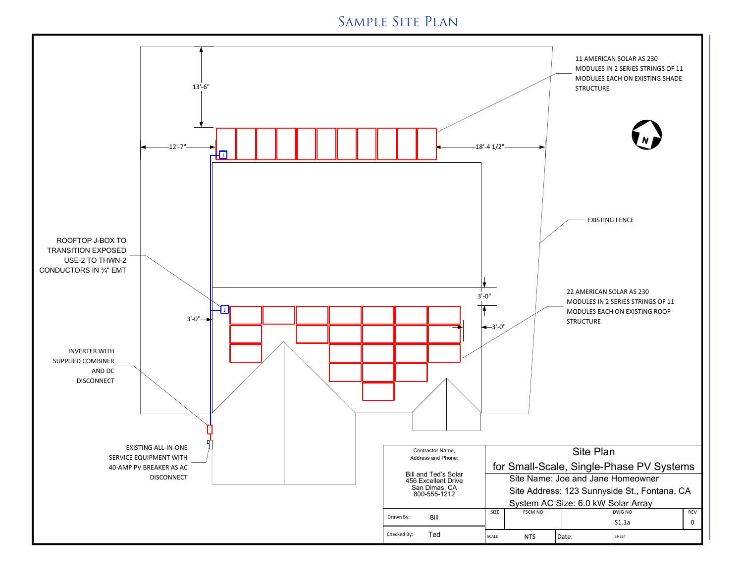## Sample Site Plan

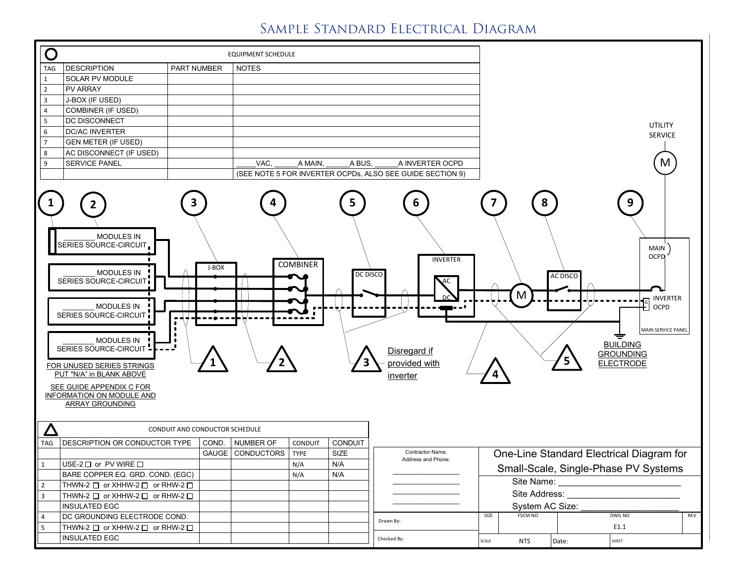# Sample Standard Electrical Diagram